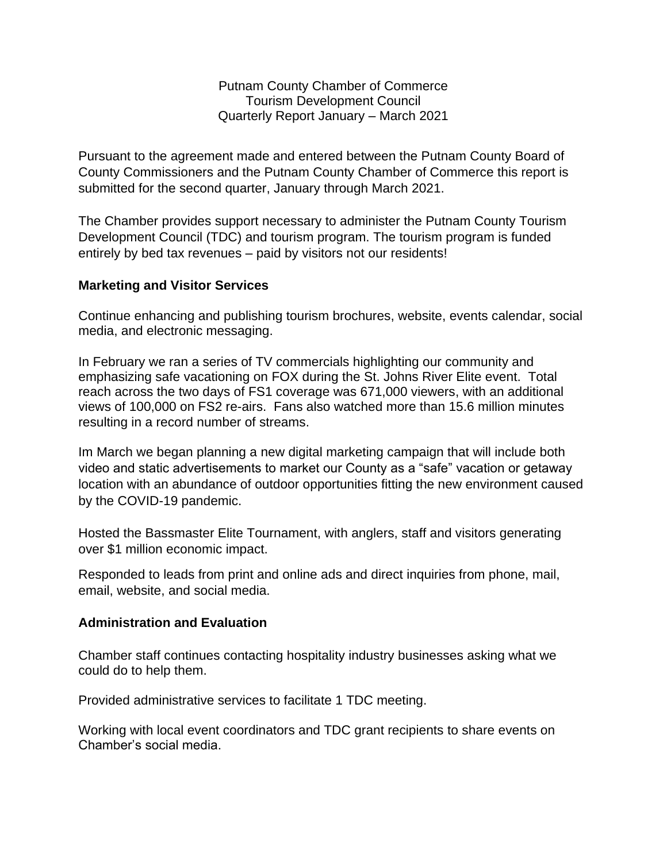Putnam County Chamber of Commerce Tourism Development Council Quarterly Report January – March 2021

Pursuant to the agreement made and entered between the Putnam County Board of County Commissioners and the Putnam County Chamber of Commerce this report is submitted for the second quarter, January through March 2021.

The Chamber provides support necessary to administer the Putnam County Tourism Development Council (TDC) and tourism program. The tourism program is funded entirely by bed tax revenues – paid by visitors not our residents!

## **Marketing and Visitor Services**

Continue enhancing and publishing tourism brochures, website, events calendar, social media, and electronic messaging.

In February we ran a series of TV commercials highlighting our community and emphasizing safe vacationing on FOX during the St. Johns River Elite event. Total reach across the two days of FS1 coverage was 671,000 viewers, with an additional views of 100,000 on FS2 re-airs. Fans also watched more than 15.6 million minutes resulting in a record number of streams.

Im March we began planning a new digital marketing campaign that will include both video and static advertisements to market our County as a "safe" vacation or getaway location with an abundance of outdoor opportunities fitting the new environment caused by the COVID-19 pandemic.

Hosted the Bassmaster Elite Tournament, with anglers, staff and visitors generating over \$1 million economic impact.

Responded to leads from print and online ads and direct inquiries from phone, mail, email, website, and social media.

## **Administration and Evaluation**

Chamber staff continues contacting hospitality industry businesses asking what we could do to help them.

Provided administrative services to facilitate 1 TDC meeting.

Working with local event coordinators and TDC grant recipients to share events on Chamber's social media.